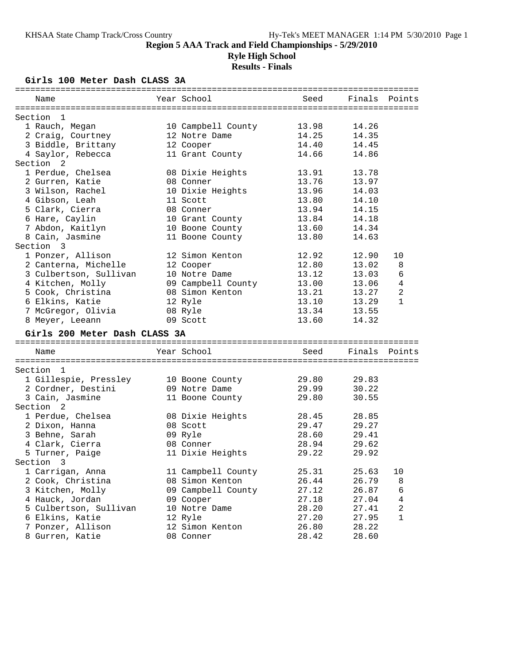### **Ryle High School**

# **Results - Finals**

### **Girls 100 Meter Dash CLASS 3A**

| Name                          | Year School        | Seed  | Finals | Points         |
|-------------------------------|--------------------|-------|--------|----------------|
| Section<br>-1                 |                    |       |        |                |
| 1 Rauch, Megan                | 10 Campbell County | 13.98 | 14.26  |                |
| 2 Craig, Courtney             | 12 Notre Dame      | 14.25 | 14.35  |                |
| 3 Biddle, Brittany            | 12 Cooper          | 14.40 | 14.45  |                |
| 4 Saylor, Rebecca             | 11 Grant County    | 14.66 | 14.86  |                |
| Section <sub>2</sub>          |                    |       |        |                |
| 1 Perdue, Chelsea             | 08 Dixie Heights   | 13.91 | 13.78  |                |
| 2 Gurren, Katie               | 08 Conner          | 13.76 | 13.97  |                |
| 3 Wilson, Rachel              | 10 Dixie Heights   | 13.96 | 14.03  |                |
| 4 Gibson, Leah                | 11 Scott           | 13.80 | 14.10  |                |
| 5 Clark, Cierra               | 08 Conner          | 13.94 | 14.15  |                |
| 6 Hare, Caylin                | 10 Grant County    | 13.84 | 14.18  |                |
| 7 Abdon, Kaitlyn              | 10 Boone County    | 13.60 | 14.34  |                |
| 8 Cain, Jasmine               | 11 Boone County    | 13.80 | 14.63  |                |
| Section 3                     |                    |       |        |                |
| 1 Ponzer, Allison             | 12 Simon Kenton    | 12.92 | 12.90  | 10             |
| 2 Canterna, Michelle          | 12 Cooper          | 12.80 | 13.02  | 8              |
| 3 Culbertson, Sullivan        | 10 Notre Dame      | 13.12 | 13.03  | 6              |
| 4 Kitchen, Molly              | 09 Campbell County | 13.00 | 13.06  | $\overline{4}$ |
| 5 Cook, Christina             | 08 Simon Kenton    | 13.21 | 13.27  | 2              |
| 6 Elkins, Katie               | 12 Ryle            | 13.10 | 13.29  | $\mathbf{1}$   |
| 7 McGregor, Olivia            | 08 Ryle            | 13.34 | 13.55  |                |
| 8 Meyer, Leeann               | 09 Scott           | 13.60 | 14.32  |                |
| Girls 200 Meter Dash CLASS 3A |                    |       |        |                |
| Name                          | Year School        | Seed  | Finals | Points         |
|                               |                    |       |        |                |
| Section<br>1                  |                    |       |        |                |
| 1 Gillespie, Pressley         | 10 Boone County    | 29.80 | 29.83  |                |
| 2 Cordner, Destini            | 09 Notre Dame      | 29.99 | 30.22  |                |
| 3 Cain, Jasmine               | 11 Boone County    | 29.80 | 30.55  |                |
| Section <sub>2</sub>          |                    |       |        |                |
| 1 Perdue, Chelsea             | 08 Dixie Heights   | 28.45 | 28.85  |                |
| 2 Dixon, Hanna                | 08 Scott           | 29.47 | 29.27  |                |
| 3 Behne, Sarah                | 09 Ryle            | 28.60 | 29.41  |                |
| 4 Clark, Cierra               | 08 Conner          | 28.94 | 29.62  |                |
| 5 Turner, Paige               | 11 Dixie Heights   | 29.22 | 29.92  |                |
| Section 3                     |                    |       |        |                |
| 1 Carrigan, Anna              | 11 Campbell County | 25.31 | 25.63  | 10             |
| 2 Cook, Christina             | 08 Simon Kenton    | 26.44 | 26.79  | 8              |
| 3 Kitchen, Molly              | 09 Campbell County | 27.12 | 26.87  | 6              |
| 4 Hauck, Jordan               | 09 Cooper          | 27.18 | 27.04  | 4              |
| 5 Culbertson, Sullivan        | 10 Notre Dame      | 28.20 | 27.41  | 2              |
| 6 Elkins, Katie               | 12 Ryle            | 27.20 | 27.95  | 1              |
| 7 Ponzer, Allison             | 12 Simon Kenton    | 26.80 | 28.22  |                |
| 8 Gurren, Katie               | 08 Conner          | 28.42 | 28.60  |                |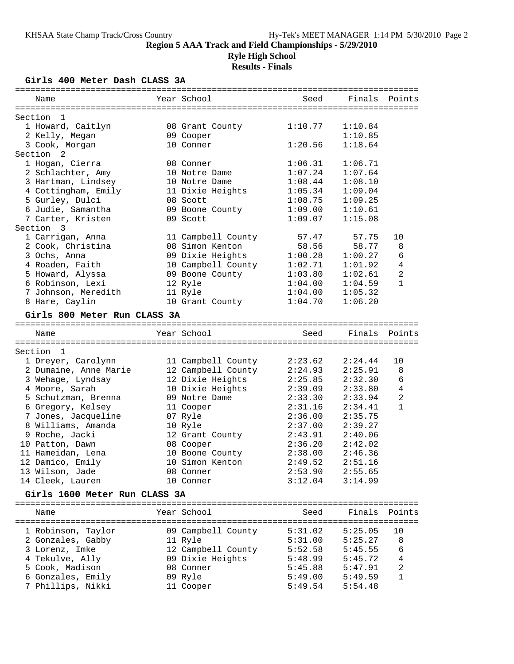**Ryle High School Results - Finals**

### **Girls 400 Meter Dash CLASS 3A**

| Year School<br>Seed<br>Finals<br>Name<br>Section<br>-1<br>1 Howard, Caitlyn<br>08 Grant County<br>1:10.77<br>1:10.84<br>2 Kelly, Megan<br>09 Cooper<br>1:10.85<br>3 Cook, Morgan<br>10 Conner<br>1:20.56<br>1:18.64<br>Section <sub>2</sub><br>1 Hogan, Cierra<br>1:06.31<br>1:06.71<br>08 Conner<br>1:07.24<br>2 Schlachter, Amy<br>10 Notre Dame<br>1:07.64<br>3 Hartman, Lindsey<br>10 Notre Dame<br>1:08.44<br>1:08.10<br>1:05.34<br>4 Cottingham, Emily<br>11 Dixie Heights<br>1:09.04<br>5 Gurley, Dulci<br>1:08.75<br>08 Scott<br>1:09.25<br>6 Judie, Samantha<br>09 Boone County<br>1:09.00<br>1:10.61<br>7 Carter, Kristen<br>09 Scott<br>1:09.07<br>1:15.08<br>Section 3<br>1 Carrigan, Anna<br>11 Campbell County<br>57.47<br>57.75<br>58.56<br>58.77<br>2 Cook, Christina<br>08 Simon Kenton<br>09 Dixie Heights<br>1:00.28<br>1:00.27<br>3 Ochs, Anna<br>4 Roaden, Faith<br>10 Campbell County<br>1:02.71<br>1:01.92<br>5 Howard, Alyssa<br>09 Boone County<br>1:03.80<br>1:02.61<br>6 Robinson, Lexi<br>12 Ryle<br>1:04.00<br>1:04.59<br>7 Johnson, Meredith<br>11 Ryle<br>1:04.00<br>1:05.32<br>8 Hare, Caylin<br>10 Grant County<br>1:04.70<br>1:06.20<br>Girls 800 Meter Run CLASS 3A<br>Year School<br>Finals<br>Seed<br>Name<br>Section<br>$\mathbf{1}$<br>1 Dreyer, Carolynn<br>2:23.62<br>2:24.44<br>11 Campbell County<br>2 Dumaine, Anne Marie<br>12 Campbell County<br>2:24.93<br>2:25.91<br>12 Dixie Heights<br>3 Wehage, Lyndsay<br>2:25.85<br>2:32.30<br>10 Dixie Heights<br>4 Moore, Sarah<br>2:39.09<br>2:33.80<br>09 Notre Dame<br>2:33.30<br>5 Schutzman, Brenna<br>2:33.94<br>6 Gregory, Kelsey<br>2:31.16<br>2:34.41<br>11 Cooper<br>7 Jones, Jacqueline<br>07 Ryle<br>2:36.00<br>2:35.75<br>8 Williams, Amanda<br>2:37.00<br>2:39.27<br>10 Ryle<br>9 Roche, Jacki<br>2:43.91<br>12 Grant County<br>2:40.06<br>2:36.20<br>2:42.02<br>10 Patton, Dawn<br>08 Cooper<br>11 Hameidan, Lena<br>10 Boone County<br>2:38.00<br>2:46.36<br>12 Damico, Emily<br>10 Simon Kenton<br>2:49.52<br>2:51.16<br>13 Wilson, Jade<br>08 Conner<br>2:53.90<br>2:55.65<br>14 Cleek, Lauren<br>10 Conner<br>3:12.04<br>3:14.99<br>Girls 1600 Meter Run CLASS 3A<br>Year School<br>Finals<br>Seed<br>Name<br>1 Robinson, Taylor<br>09 Campbell County<br>5:31.02<br>5:25.05<br>5:31.00<br>2 Gonzales, Gabby<br>11 Ryle<br>5:25.27<br>3 Lorenz, Imke<br>12 Campbell County<br>5:52.58<br>5:45.55<br>4 Tekulve, Ally<br>09 Dixie Heights<br>5:48.99<br>5:45.72<br>5 Cook, Madison<br>08 Conner<br>5:45.88<br>5:47.91 |                |  |  |
|-------------------------------------------------------------------------------------------------------------------------------------------------------------------------------------------------------------------------------------------------------------------------------------------------------------------------------------------------------------------------------------------------------------------------------------------------------------------------------------------------------------------------------------------------------------------------------------------------------------------------------------------------------------------------------------------------------------------------------------------------------------------------------------------------------------------------------------------------------------------------------------------------------------------------------------------------------------------------------------------------------------------------------------------------------------------------------------------------------------------------------------------------------------------------------------------------------------------------------------------------------------------------------------------------------------------------------------------------------------------------------------------------------------------------------------------------------------------------------------------------------------------------------------------------------------------------------------------------------------------------------------------------------------------------------------------------------------------------------------------------------------------------------------------------------------------------------------------------------------------------------------------------------------------------------------------------------------------------------------------------------------------------------------------------------------------------------------------------------------------------------------------------------------------------------------------------------------------------------------------------------------------------------------------------------------------------------------------------------------------------------------------------------------------------------------------------------------------------------------------------------------------------------|----------------|--|--|
|                                                                                                                                                                                                                                                                                                                                                                                                                                                                                                                                                                                                                                                                                                                                                                                                                                                                                                                                                                                                                                                                                                                                                                                                                                                                                                                                                                                                                                                                                                                                                                                                                                                                                                                                                                                                                                                                                                                                                                                                                                                                                                                                                                                                                                                                                                                                                                                                                                                                                                                               | Points         |  |  |
|                                                                                                                                                                                                                                                                                                                                                                                                                                                                                                                                                                                                                                                                                                                                                                                                                                                                                                                                                                                                                                                                                                                                                                                                                                                                                                                                                                                                                                                                                                                                                                                                                                                                                                                                                                                                                                                                                                                                                                                                                                                                                                                                                                                                                                                                                                                                                                                                                                                                                                                               |                |  |  |
|                                                                                                                                                                                                                                                                                                                                                                                                                                                                                                                                                                                                                                                                                                                                                                                                                                                                                                                                                                                                                                                                                                                                                                                                                                                                                                                                                                                                                                                                                                                                                                                                                                                                                                                                                                                                                                                                                                                                                                                                                                                                                                                                                                                                                                                                                                                                                                                                                                                                                                                               |                |  |  |
|                                                                                                                                                                                                                                                                                                                                                                                                                                                                                                                                                                                                                                                                                                                                                                                                                                                                                                                                                                                                                                                                                                                                                                                                                                                                                                                                                                                                                                                                                                                                                                                                                                                                                                                                                                                                                                                                                                                                                                                                                                                                                                                                                                                                                                                                                                                                                                                                                                                                                                                               |                |  |  |
|                                                                                                                                                                                                                                                                                                                                                                                                                                                                                                                                                                                                                                                                                                                                                                                                                                                                                                                                                                                                                                                                                                                                                                                                                                                                                                                                                                                                                                                                                                                                                                                                                                                                                                                                                                                                                                                                                                                                                                                                                                                                                                                                                                                                                                                                                                                                                                                                                                                                                                                               |                |  |  |
|                                                                                                                                                                                                                                                                                                                                                                                                                                                                                                                                                                                                                                                                                                                                                                                                                                                                                                                                                                                                                                                                                                                                                                                                                                                                                                                                                                                                                                                                                                                                                                                                                                                                                                                                                                                                                                                                                                                                                                                                                                                                                                                                                                                                                                                                                                                                                                                                                                                                                                                               |                |  |  |
|                                                                                                                                                                                                                                                                                                                                                                                                                                                                                                                                                                                                                                                                                                                                                                                                                                                                                                                                                                                                                                                                                                                                                                                                                                                                                                                                                                                                                                                                                                                                                                                                                                                                                                                                                                                                                                                                                                                                                                                                                                                                                                                                                                                                                                                                                                                                                                                                                                                                                                                               |                |  |  |
|                                                                                                                                                                                                                                                                                                                                                                                                                                                                                                                                                                                                                                                                                                                                                                                                                                                                                                                                                                                                                                                                                                                                                                                                                                                                                                                                                                                                                                                                                                                                                                                                                                                                                                                                                                                                                                                                                                                                                                                                                                                                                                                                                                                                                                                                                                                                                                                                                                                                                                                               |                |  |  |
|                                                                                                                                                                                                                                                                                                                                                                                                                                                                                                                                                                                                                                                                                                                                                                                                                                                                                                                                                                                                                                                                                                                                                                                                                                                                                                                                                                                                                                                                                                                                                                                                                                                                                                                                                                                                                                                                                                                                                                                                                                                                                                                                                                                                                                                                                                                                                                                                                                                                                                                               |                |  |  |
|                                                                                                                                                                                                                                                                                                                                                                                                                                                                                                                                                                                                                                                                                                                                                                                                                                                                                                                                                                                                                                                                                                                                                                                                                                                                                                                                                                                                                                                                                                                                                                                                                                                                                                                                                                                                                                                                                                                                                                                                                                                                                                                                                                                                                                                                                                                                                                                                                                                                                                                               |                |  |  |
|                                                                                                                                                                                                                                                                                                                                                                                                                                                                                                                                                                                                                                                                                                                                                                                                                                                                                                                                                                                                                                                                                                                                                                                                                                                                                                                                                                                                                                                                                                                                                                                                                                                                                                                                                                                                                                                                                                                                                                                                                                                                                                                                                                                                                                                                                                                                                                                                                                                                                                                               |                |  |  |
|                                                                                                                                                                                                                                                                                                                                                                                                                                                                                                                                                                                                                                                                                                                                                                                                                                                                                                                                                                                                                                                                                                                                                                                                                                                                                                                                                                                                                                                                                                                                                                                                                                                                                                                                                                                                                                                                                                                                                                                                                                                                                                                                                                                                                                                                                                                                                                                                                                                                                                                               |                |  |  |
|                                                                                                                                                                                                                                                                                                                                                                                                                                                                                                                                                                                                                                                                                                                                                                                                                                                                                                                                                                                                                                                                                                                                                                                                                                                                                                                                                                                                                                                                                                                                                                                                                                                                                                                                                                                                                                                                                                                                                                                                                                                                                                                                                                                                                                                                                                                                                                                                                                                                                                                               |                |  |  |
|                                                                                                                                                                                                                                                                                                                                                                                                                                                                                                                                                                                                                                                                                                                                                                                                                                                                                                                                                                                                                                                                                                                                                                                                                                                                                                                                                                                                                                                                                                                                                                                                                                                                                                                                                                                                                                                                                                                                                                                                                                                                                                                                                                                                                                                                                                                                                                                                                                                                                                                               |                |  |  |
|                                                                                                                                                                                                                                                                                                                                                                                                                                                                                                                                                                                                                                                                                                                                                                                                                                                                                                                                                                                                                                                                                                                                                                                                                                                                                                                                                                                                                                                                                                                                                                                                                                                                                                                                                                                                                                                                                                                                                                                                                                                                                                                                                                                                                                                                                                                                                                                                                                                                                                                               | 10             |  |  |
|                                                                                                                                                                                                                                                                                                                                                                                                                                                                                                                                                                                                                                                                                                                                                                                                                                                                                                                                                                                                                                                                                                                                                                                                                                                                                                                                                                                                                                                                                                                                                                                                                                                                                                                                                                                                                                                                                                                                                                                                                                                                                                                                                                                                                                                                                                                                                                                                                                                                                                                               | 8              |  |  |
|                                                                                                                                                                                                                                                                                                                                                                                                                                                                                                                                                                                                                                                                                                                                                                                                                                                                                                                                                                                                                                                                                                                                                                                                                                                                                                                                                                                                                                                                                                                                                                                                                                                                                                                                                                                                                                                                                                                                                                                                                                                                                                                                                                                                                                                                                                                                                                                                                                                                                                                               | 6              |  |  |
|                                                                                                                                                                                                                                                                                                                                                                                                                                                                                                                                                                                                                                                                                                                                                                                                                                                                                                                                                                                                                                                                                                                                                                                                                                                                                                                                                                                                                                                                                                                                                                                                                                                                                                                                                                                                                                                                                                                                                                                                                                                                                                                                                                                                                                                                                                                                                                                                                                                                                                                               | 4              |  |  |
|                                                                                                                                                                                                                                                                                                                                                                                                                                                                                                                                                                                                                                                                                                                                                                                                                                                                                                                                                                                                                                                                                                                                                                                                                                                                                                                                                                                                                                                                                                                                                                                                                                                                                                                                                                                                                                                                                                                                                                                                                                                                                                                                                                                                                                                                                                                                                                                                                                                                                                                               | $\overline{a}$ |  |  |
|                                                                                                                                                                                                                                                                                                                                                                                                                                                                                                                                                                                                                                                                                                                                                                                                                                                                                                                                                                                                                                                                                                                                                                                                                                                                                                                                                                                                                                                                                                                                                                                                                                                                                                                                                                                                                                                                                                                                                                                                                                                                                                                                                                                                                                                                                                                                                                                                                                                                                                                               | 1              |  |  |
|                                                                                                                                                                                                                                                                                                                                                                                                                                                                                                                                                                                                                                                                                                                                                                                                                                                                                                                                                                                                                                                                                                                                                                                                                                                                                                                                                                                                                                                                                                                                                                                                                                                                                                                                                                                                                                                                                                                                                                                                                                                                                                                                                                                                                                                                                                                                                                                                                                                                                                                               |                |  |  |
|                                                                                                                                                                                                                                                                                                                                                                                                                                                                                                                                                                                                                                                                                                                                                                                                                                                                                                                                                                                                                                                                                                                                                                                                                                                                                                                                                                                                                                                                                                                                                                                                                                                                                                                                                                                                                                                                                                                                                                                                                                                                                                                                                                                                                                                                                                                                                                                                                                                                                                                               |                |  |  |
|                                                                                                                                                                                                                                                                                                                                                                                                                                                                                                                                                                                                                                                                                                                                                                                                                                                                                                                                                                                                                                                                                                                                                                                                                                                                                                                                                                                                                                                                                                                                                                                                                                                                                                                                                                                                                                                                                                                                                                                                                                                                                                                                                                                                                                                                                                                                                                                                                                                                                                                               |                |  |  |
|                                                                                                                                                                                                                                                                                                                                                                                                                                                                                                                                                                                                                                                                                                                                                                                                                                                                                                                                                                                                                                                                                                                                                                                                                                                                                                                                                                                                                                                                                                                                                                                                                                                                                                                                                                                                                                                                                                                                                                                                                                                                                                                                                                                                                                                                                                                                                                                                                                                                                                                               |                |  |  |
|                                                                                                                                                                                                                                                                                                                                                                                                                                                                                                                                                                                                                                                                                                                                                                                                                                                                                                                                                                                                                                                                                                                                                                                                                                                                                                                                                                                                                                                                                                                                                                                                                                                                                                                                                                                                                                                                                                                                                                                                                                                                                                                                                                                                                                                                                                                                                                                                                                                                                                                               | Points         |  |  |
|                                                                                                                                                                                                                                                                                                                                                                                                                                                                                                                                                                                                                                                                                                                                                                                                                                                                                                                                                                                                                                                                                                                                                                                                                                                                                                                                                                                                                                                                                                                                                                                                                                                                                                                                                                                                                                                                                                                                                                                                                                                                                                                                                                                                                                                                                                                                                                                                                                                                                                                               |                |  |  |
|                                                                                                                                                                                                                                                                                                                                                                                                                                                                                                                                                                                                                                                                                                                                                                                                                                                                                                                                                                                                                                                                                                                                                                                                                                                                                                                                                                                                                                                                                                                                                                                                                                                                                                                                                                                                                                                                                                                                                                                                                                                                                                                                                                                                                                                                                                                                                                                                                                                                                                                               | 10             |  |  |
|                                                                                                                                                                                                                                                                                                                                                                                                                                                                                                                                                                                                                                                                                                                                                                                                                                                                                                                                                                                                                                                                                                                                                                                                                                                                                                                                                                                                                                                                                                                                                                                                                                                                                                                                                                                                                                                                                                                                                                                                                                                                                                                                                                                                                                                                                                                                                                                                                                                                                                                               | 8              |  |  |
|                                                                                                                                                                                                                                                                                                                                                                                                                                                                                                                                                                                                                                                                                                                                                                                                                                                                                                                                                                                                                                                                                                                                                                                                                                                                                                                                                                                                                                                                                                                                                                                                                                                                                                                                                                                                                                                                                                                                                                                                                                                                                                                                                                                                                                                                                                                                                                                                                                                                                                                               | 6              |  |  |
|                                                                                                                                                                                                                                                                                                                                                                                                                                                                                                                                                                                                                                                                                                                                                                                                                                                                                                                                                                                                                                                                                                                                                                                                                                                                                                                                                                                                                                                                                                                                                                                                                                                                                                                                                                                                                                                                                                                                                                                                                                                                                                                                                                                                                                                                                                                                                                                                                                                                                                                               | $\overline{4}$ |  |  |
|                                                                                                                                                                                                                                                                                                                                                                                                                                                                                                                                                                                                                                                                                                                                                                                                                                                                                                                                                                                                                                                                                                                                                                                                                                                                                                                                                                                                                                                                                                                                                                                                                                                                                                                                                                                                                                                                                                                                                                                                                                                                                                                                                                                                                                                                                                                                                                                                                                                                                                                               | $\overline{a}$ |  |  |
|                                                                                                                                                                                                                                                                                                                                                                                                                                                                                                                                                                                                                                                                                                                                                                                                                                                                                                                                                                                                                                                                                                                                                                                                                                                                                                                                                                                                                                                                                                                                                                                                                                                                                                                                                                                                                                                                                                                                                                                                                                                                                                                                                                                                                                                                                                                                                                                                                                                                                                                               | $\mathbf{1}$   |  |  |
|                                                                                                                                                                                                                                                                                                                                                                                                                                                                                                                                                                                                                                                                                                                                                                                                                                                                                                                                                                                                                                                                                                                                                                                                                                                                                                                                                                                                                                                                                                                                                                                                                                                                                                                                                                                                                                                                                                                                                                                                                                                                                                                                                                                                                                                                                                                                                                                                                                                                                                                               |                |  |  |
|                                                                                                                                                                                                                                                                                                                                                                                                                                                                                                                                                                                                                                                                                                                                                                                                                                                                                                                                                                                                                                                                                                                                                                                                                                                                                                                                                                                                                                                                                                                                                                                                                                                                                                                                                                                                                                                                                                                                                                                                                                                                                                                                                                                                                                                                                                                                                                                                                                                                                                                               |                |  |  |
|                                                                                                                                                                                                                                                                                                                                                                                                                                                                                                                                                                                                                                                                                                                                                                                                                                                                                                                                                                                                                                                                                                                                                                                                                                                                                                                                                                                                                                                                                                                                                                                                                                                                                                                                                                                                                                                                                                                                                                                                                                                                                                                                                                                                                                                                                                                                                                                                                                                                                                                               |                |  |  |
|                                                                                                                                                                                                                                                                                                                                                                                                                                                                                                                                                                                                                                                                                                                                                                                                                                                                                                                                                                                                                                                                                                                                                                                                                                                                                                                                                                                                                                                                                                                                                                                                                                                                                                                                                                                                                                                                                                                                                                                                                                                                                                                                                                                                                                                                                                                                                                                                                                                                                                                               |                |  |  |
|                                                                                                                                                                                                                                                                                                                                                                                                                                                                                                                                                                                                                                                                                                                                                                                                                                                                                                                                                                                                                                                                                                                                                                                                                                                                                                                                                                                                                                                                                                                                                                                                                                                                                                                                                                                                                                                                                                                                                                                                                                                                                                                                                                                                                                                                                                                                                                                                                                                                                                                               |                |  |  |
|                                                                                                                                                                                                                                                                                                                                                                                                                                                                                                                                                                                                                                                                                                                                                                                                                                                                                                                                                                                                                                                                                                                                                                                                                                                                                                                                                                                                                                                                                                                                                                                                                                                                                                                                                                                                                                                                                                                                                                                                                                                                                                                                                                                                                                                                                                                                                                                                                                                                                                                               |                |  |  |
|                                                                                                                                                                                                                                                                                                                                                                                                                                                                                                                                                                                                                                                                                                                                                                                                                                                                                                                                                                                                                                                                                                                                                                                                                                                                                                                                                                                                                                                                                                                                                                                                                                                                                                                                                                                                                                                                                                                                                                                                                                                                                                                                                                                                                                                                                                                                                                                                                                                                                                                               |                |  |  |
|                                                                                                                                                                                                                                                                                                                                                                                                                                                                                                                                                                                                                                                                                                                                                                                                                                                                                                                                                                                                                                                                                                                                                                                                                                                                                                                                                                                                                                                                                                                                                                                                                                                                                                                                                                                                                                                                                                                                                                                                                                                                                                                                                                                                                                                                                                                                                                                                                                                                                                                               |                |  |  |
|                                                                                                                                                                                                                                                                                                                                                                                                                                                                                                                                                                                                                                                                                                                                                                                                                                                                                                                                                                                                                                                                                                                                                                                                                                                                                                                                                                                                                                                                                                                                                                                                                                                                                                                                                                                                                                                                                                                                                                                                                                                                                                                                                                                                                                                                                                                                                                                                                                                                                                                               |                |  |  |
|                                                                                                                                                                                                                                                                                                                                                                                                                                                                                                                                                                                                                                                                                                                                                                                                                                                                                                                                                                                                                                                                                                                                                                                                                                                                                                                                                                                                                                                                                                                                                                                                                                                                                                                                                                                                                                                                                                                                                                                                                                                                                                                                                                                                                                                                                                                                                                                                                                                                                                                               |                |  |  |
|                                                                                                                                                                                                                                                                                                                                                                                                                                                                                                                                                                                                                                                                                                                                                                                                                                                                                                                                                                                                                                                                                                                                                                                                                                                                                                                                                                                                                                                                                                                                                                                                                                                                                                                                                                                                                                                                                                                                                                                                                                                                                                                                                                                                                                                                                                                                                                                                                                                                                                                               | Points         |  |  |
|                                                                                                                                                                                                                                                                                                                                                                                                                                                                                                                                                                                                                                                                                                                                                                                                                                                                                                                                                                                                                                                                                                                                                                                                                                                                                                                                                                                                                                                                                                                                                                                                                                                                                                                                                                                                                                                                                                                                                                                                                                                                                                                                                                                                                                                                                                                                                                                                                                                                                                                               | 10             |  |  |
|                                                                                                                                                                                                                                                                                                                                                                                                                                                                                                                                                                                                                                                                                                                                                                                                                                                                                                                                                                                                                                                                                                                                                                                                                                                                                                                                                                                                                                                                                                                                                                                                                                                                                                                                                                                                                                                                                                                                                                                                                                                                                                                                                                                                                                                                                                                                                                                                                                                                                                                               | 8              |  |  |
|                                                                                                                                                                                                                                                                                                                                                                                                                                                                                                                                                                                                                                                                                                                                                                                                                                                                                                                                                                                                                                                                                                                                                                                                                                                                                                                                                                                                                                                                                                                                                                                                                                                                                                                                                                                                                                                                                                                                                                                                                                                                                                                                                                                                                                                                                                                                                                                                                                                                                                                               | 6              |  |  |
|                                                                                                                                                                                                                                                                                                                                                                                                                                                                                                                                                                                                                                                                                                                                                                                                                                                                                                                                                                                                                                                                                                                                                                                                                                                                                                                                                                                                                                                                                                                                                                                                                                                                                                                                                                                                                                                                                                                                                                                                                                                                                                                                                                                                                                                                                                                                                                                                                                                                                                                               | 4              |  |  |
|                                                                                                                                                                                                                                                                                                                                                                                                                                                                                                                                                                                                                                                                                                                                                                                                                                                                                                                                                                                                                                                                                                                                                                                                                                                                                                                                                                                                                                                                                                                                                                                                                                                                                                                                                                                                                                                                                                                                                                                                                                                                                                                                                                                                                                                                                                                                                                                                                                                                                                                               | $\sqrt{2}$     |  |  |
| 6 Gonzales, Emily<br>09 Ryle<br>5:49.00<br>5:49.59                                                                                                                                                                                                                                                                                                                                                                                                                                                                                                                                                                                                                                                                                                                                                                                                                                                                                                                                                                                                                                                                                                                                                                                                                                                                                                                                                                                                                                                                                                                                                                                                                                                                                                                                                                                                                                                                                                                                                                                                                                                                                                                                                                                                                                                                                                                                                                                                                                                                            | 1              |  |  |
| 7 Phillips, Nikki<br>5:49.54<br>11 Cooper<br>5:54.48                                                                                                                                                                                                                                                                                                                                                                                                                                                                                                                                                                                                                                                                                                                                                                                                                                                                                                                                                                                                                                                                                                                                                                                                                                                                                                                                                                                                                                                                                                                                                                                                                                                                                                                                                                                                                                                                                                                                                                                                                                                                                                                                                                                                                                                                                                                                                                                                                                                                          |                |  |  |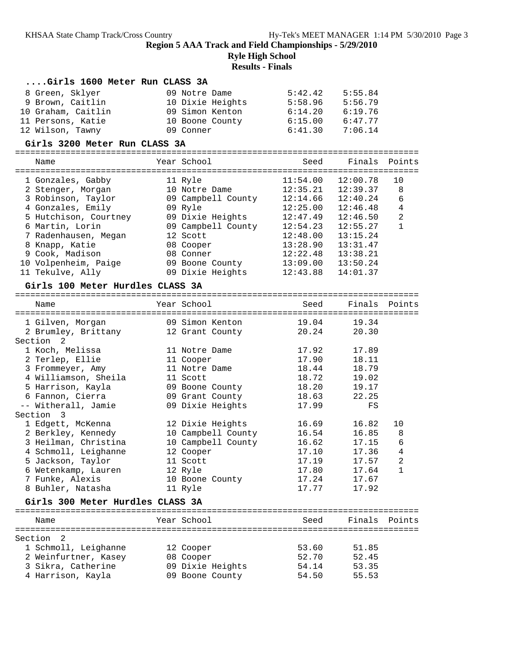### **Ryle High School**

| Girls 1600 Meter Run CLASS 3A    |                    |                |                |                |
|----------------------------------|--------------------|----------------|----------------|----------------|
| 8 Green, Sklyer                  | 09 Notre Dame      | 5:42.42        | 5:55.84        |                |
| 9 Brown, Caitlin                 | 10 Dixie Heights   | 5:58.96        | 5:56.79        |                |
| 10 Graham, Caitlin               | 09 Simon Kenton    | 6:14.20        | 6:19.76        |                |
| 11 Persons, Katie                | 10 Boone County    | 6:15.00        | 6:47.77        |                |
| 12 Wilson, Tawny                 | 09 Conner          | 6:41.30        | 7:06.14        |                |
| Girls 3200 Meter Run CLASS 3A    |                    |                |                |                |
|                                  |                    |                |                |                |
| Name                             | Year School        | Seed           | Finals         | Points         |
| 1 Gonzales, Gabby                | 11 Ryle            | 11:54.00       | 12:00.78       | 10             |
| 2 Stenger, Morgan                | 10 Notre Dame      | 12:35.21       | 12:39.37       | 8              |
| 3 Robinson, Taylor               | 09 Campbell County | 12:14.66       | 12:40.24       | 6              |
| 4 Gonzales, Emily                | 09 Ryle            | 12:25.00       | 12:46.48       | $\overline{4}$ |
| 5 Hutchison, Courtney            | 09 Dixie Heights   | 12:47.49       | 12:46.50       | $\overline{a}$ |
| 6 Martin, Lorin                  | 09 Campbell County | 12:54.23       | 12:55.27       | $\mathbf{1}$   |
| 7 Radenhausen, Megan             | 12 Scott           | 12:48.00       | 13:15.24       |                |
| 8 Knapp, Katie                   | 08 Cooper          | 13:28.90       | 13:31.47       |                |
| 9 Cook, Madison                  | 08 Conner          | 12:22.48       | 13:38.21       |                |
| 10 Volpenheim, Paige             | 09 Boone County    | 13:09.00       | 13:50.24       |                |
| 11 Tekulve, Ally                 | 09 Dixie Heights   | 12:43.88       | 14:01.37       |                |
| Girls 100 Meter Hurdles CLASS 3A |                    |                |                |                |
|                                  |                    |                |                |                |
| Name                             | Year School        | Seed           | Finals         | Points         |
| 1 Gilven, Morgan                 | 09 Simon Kenton    | 19.04          | 19.34          |                |
| 2 Brumley, Brittany              | 12 Grant County    | 20.24          | 20.30          |                |
| Section <sub>2</sub>             |                    |                |                |                |
| 1 Koch, Melissa                  | 11 Notre Dame      | 17.92          | 17.89          |                |
| 2 Terlep, Ellie                  | 11 Cooper          | 17.90          | 18.11          |                |
| 3 Frommeyer, Amy                 | 11 Notre Dame      | 18.44          | 18.79          |                |
| 4 Williamson, Sheila             | 11 Scott           | 18.72          | 19.02          |                |
| 5 Harrison, Kayla                | 09 Boone County    | 18.20          | 19.17          |                |
| 6 Fannon, Cierra                 | 09 Grant County    | 18.63          | 22.25          |                |
| -- Witherall, Jamie              | 09 Dixie Heights   | 17.99          | $_{\rm FS}$    |                |
| Section 3                        |                    |                |                |                |
| 1 Edgett, McKenna                | 12 Dixie Heights   | 16.69          | 16.82          | 10             |
| 2 Berkley, Kennedy               | 10 Campbell County | 16.54          | 16.85          | 8              |
| 3 Heilman, Christina             | 10 Campbell County | 16.62          | 17.15          | 6              |
| 4 Schmoll, Leighanne             | 12 Cooper          | 17.10          | 17.36          | 4              |
| 5 Jackson, Taylor                | 11 Scott           | 17.19          | 17.57          | 2              |
| 6 Wetenkamp, Lauren              | 12 Ryle            | 17.80          | 17.64          | 1              |
| 7 Funke, Alexis                  | 10 Boone County    | 17.24          | 17.67          |                |
| 8 Buhler, Natasha                | 11 Ryle            | 17.77          | 17.92          |                |
| Girls 300 Meter Hurdles CLASS 3A |                    |                |                |                |
|                                  |                    |                |                |                |
| Name                             | Year School        | Seed           | Finals Points  |                |
| Section <sub>2</sub>             |                    |                |                |                |
|                                  |                    |                |                |                |
| 1 Schmoll, Leighanne             | 12 Cooper          | 53.60<br>52.70 | 51.85<br>52.45 |                |
| 2 Weinfurtner, Kasey             | 08 Cooper          |                |                |                |
| 3 Sikra, Catherine               | 09 Dixie Heights   | 54.14          | 53.35          |                |
| 4 Harrison, Kayla                | 09 Boone County    | 54.50          | 55.53          |                |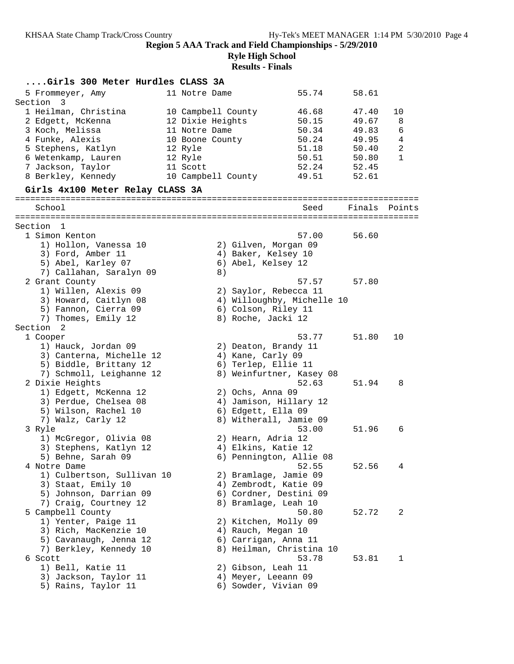**Ryle High School**

| Girls 300 Meter Hurdles CLASS 3A           |                    |                                             |        |                |
|--------------------------------------------|--------------------|---------------------------------------------|--------|----------------|
| 5 Frommeyer, Amy                           | 11 Notre Dame      | 55.74                                       | 58.61  |                |
| Section<br>$\overline{\mathbf{3}}$         |                    |                                             |        |                |
| 1 Heilman, Christina                       | 10 Campbell County | 46.68                                       | 47.40  | 10             |
| 2 Edgett, McKenna                          | 12 Dixie Heights   | 50.15                                       | 49.67  | 8              |
| 3 Koch, Melissa                            | 11 Notre Dame      | 50.34                                       | 49.83  | 6              |
| 4 Funke, Alexis                            | 10 Boone County    | 50.24                                       | 49.95  | 4              |
| 5 Stephens, Katlyn                         | 12 Ryle            | 51.18                                       | 50.40  | $\overline{c}$ |
| 6 Wetenkamp, Lauren                        | 12 Ryle            | 50.51                                       | 50.80  | $\mathbf{1}$   |
| 7 Jackson, Taylor                          | 11 Scott           | 52.24                                       | 52.45  |                |
| 8 Berkley, Kennedy                         | 10 Campbell County | 49.51                                       | 52.61  |                |
| Girls 4x100 Meter Relay CLASS 3A           |                    |                                             |        |                |
|                                            |                    |                                             |        |                |
| School                                     |                    | Seed                                        | Finals | Points         |
|                                            |                    |                                             |        |                |
| Section<br>1                               |                    |                                             |        |                |
| 1 Simon Kenton                             |                    | 57.00                                       | 56.60  |                |
| 1) Hollon, Vanessa 10<br>3) Ford, Amber 11 |                    | 2) Gilven, Morgan 09<br>4) Baker, Kelsey 10 |        |                |
| 5) Abel, Karley 07                         |                    | 6) Abel, Kelsey 12                          |        |                |
| 7) Callahan, Saralyn 09                    | 8)                 |                                             |        |                |
| 2 Grant County                             |                    | 57.57                                       | 57.80  |                |
| 1) Willen, Alexis 09                       |                    | 2) Saylor, Rebecca 11                       |        |                |
| 3) Howard, Caitlyn 08                      |                    | 4) Willoughby, Michelle 10                  |        |                |
| 5) Fannon, Cierra 09                       |                    | 6) Colson, Riley 11                         |        |                |
| 7) Thomes, Emily 12                        |                    | 8) Roche, Jacki 12                          |        |                |
| Section 2                                  |                    |                                             |        |                |
| 1 Cooper                                   |                    | 53.77                                       | 51.80  | 10             |
| 1) Hauck, Jordan 09                        |                    | 2) Deaton, Brandy 11                        |        |                |
| 3) Canterna, Michelle 12                   | 4) Kane, Carly 09  |                                             |        |                |
| 5) Biddle, Brittany 12                     |                    | 6) Terlep, Ellie 11                         |        |                |
| 7) Schmoll, Leighanne 12                   |                    | 8) Weinfurtner, Kasey 08                    |        |                |
| 2 Dixie Heights                            |                    | 52.63                                       | 51.94  | 8              |
| 1) Edgett, McKenna 12                      | 2) Ochs, Anna 09   |                                             |        |                |
| 3) Perdue, Chelsea 08                      |                    | 4) Jamison, Hillary 12                      |        |                |
| 5) Wilson, Rachel 10                       |                    | 6) Edgett, Ella 09                          |        |                |
| 7) Walz, Carly 12                          |                    | 8) Witherall, Jamie 09                      |        |                |
| 3 Ryle                                     |                    | 53.00                                       | 51.96  | 6              |
| 1) McGregor, Olivia 08                     |                    | 2) Hearn, Adria 12                          |        |                |
| 3) Stephens, Katlyn 12                     |                    | 4) Elkins, Katie 12                         |        |                |
| 5) Behne, Sarah 09                         |                    | 6) Pennington, Allie 08                     |        |                |
| 4 Notre Dame                               |                    | 52.55                                       | 52.56  | 4              |
| 1) Culbertson, Sullivan 10                 |                    | 2) Bramlage, Jamie 09                       |        |                |
| 3) Staat, Emily 10                         |                    | 4) Zembrodt, Katie 09                       |        |                |
| 5) Johnson, Darrian 09                     |                    | 6) Cordner, Destini 09                      |        |                |
| 7) Craig, Courtney 12                      |                    | 8) Bramlage, Leah 10                        |        |                |
| 5 Campbell County                          |                    | 50.80                                       | 52.72  | 2              |
| 1) Yenter, Paige 11                        |                    | 2) Kitchen, Molly 09                        |        |                |
| 3) Rich, MacKenzie 10                      |                    | 4) Rauch, Megan 10                          |        |                |
| 5) Cavanaugh, Jenna 12                     |                    | 6) Carrigan, Anna 11                        |        |                |
| 7) Berkley, Kennedy 10                     |                    | 8) Heilman, Christina 10                    |        |                |
| 6 Scott                                    |                    | 53.78                                       | 53.81  | 1              |
| 1) Bell, Katie 11                          |                    | 2) Gibson, Leah 11                          |        |                |
| 3) Jackson, Taylor 11                      |                    | 4) Meyer, Leeann 09                         |        |                |
| 5) Rains, Taylor 11                        |                    | 6) Sowder, Vivian 09                        |        |                |
|                                            |                    |                                             |        |                |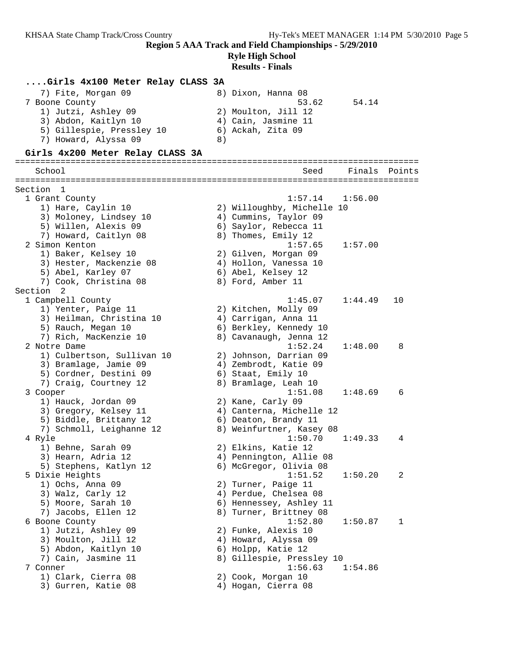## **Ryle High School**

| Girls 4x100 Meter Relay CLASS 3A |    |                            |         |        |
|----------------------------------|----|----------------------------|---------|--------|
| 7) Fite, Morgan 09               |    | 8) Dixon, Hanna 08         |         |        |
| 7 Boone County                   |    | 53.62                      | 54.14   |        |
| 1) Jutzi, Ashley 09              |    | 2) Moulton, Jill 12        |         |        |
| 3) Abdon, Kaitlyn 10             |    | 4) Cain, Jasmine 11        |         |        |
| 5) Gillespie, Pressley 10        |    | 6) Ackah, Zita 09          |         |        |
| 7) Howard, Alyssa 09             | 8) |                            |         |        |
| Girls 4x200 Meter Relay CLASS 3A |    |                            |         |        |
| School                           |    | Seed                       | Finals  | Points |
|                                  |    |                            |         |        |
| Section 1                        |    |                            |         |        |
| 1 Grant County                   |    | 1:57.14                    | 1:56.00 |        |
| 1) Hare, Caylin 10               |    | 2) Willoughby, Michelle 10 |         |        |
| 3) Moloney, Lindsey 10           |    | 4) Cummins, Taylor 09      |         |        |
| 5) Willen, Alexis 09             |    | 6) Saylor, Rebecca 11      |         |        |
| 7) Howard, Caitlyn 08            |    | 8) Thomes, Emily 12        |         |        |
| 2 Simon Kenton                   |    | 1:57.65                    | 1:57.00 |        |
| 1) Baker, Kelsey 10              |    | 2) Gilven, Morgan 09       |         |        |
| 3) Hester, Mackenzie 08          |    | 4) Hollon, Vanessa 10      |         |        |
| 5) Abel, Karley 07               |    | 6) Abel, Kelsey 12         |         |        |
| 7) Cook, Christina 08            |    | 8) Ford, Amber 11          |         |        |
| Section<br>- 2                   |    |                            |         |        |
| 1 Campbell County                |    | 1:45.07                    | 1:44.49 | 10     |
| 1) Yenter, Paige 11              |    | 2) Kitchen, Molly 09       |         |        |
| 3) Heilman, Christina 10         |    | 4) Carrigan, Anna 11       |         |        |
| 5) Rauch, Megan 10               |    | 6) Berkley, Kennedy 10     |         |        |
| 7) Rich, MacKenzie 10            |    | 8) Cavanaugh, Jenna 12     |         |        |
| 2 Notre Dame                     |    | 1:52.24                    | 1:48.00 | 8      |
| 1) Culbertson, Sullivan 10       |    | 2) Johnson, Darrian 09     |         |        |
| 3) Bramlage, Jamie 09            |    | 4) Zembrodt, Katie 09      |         |        |
| 5) Cordner, Destini 09           |    | 6) Staat, Emily 10         |         |        |
| 7) Craig, Courtney 12            |    | 8) Bramlage, Leah 10       |         |        |
| 3 Cooper                         |    | 1:51.08                    | 1:48.69 | 6      |
| 1) Hauck, Jordan 09              |    | 2) Kane, Carly 09          |         |        |
| 3) Gregory, Kelsey 11            |    | 4) Canterna, Michelle 12   |         |        |
| 5) Biddle, Brittany 12           |    | 6) Deaton, Brandy 11       |         |        |
| 7) Schmoll, Leighanne 12         |    | 8) Weinfurtner, Kasey 08   |         |        |
| 4 Ryle                           |    | 1:50.70                    | 1:49.33 | 4      |
| 1) Behne, Sarah 09               |    | 2) Elkins, Katie 12        |         |        |
| 3) Hearn, Adria 12               |    | 4) Pennington, Allie 08    |         |        |
| 5) Stephens, Katlyn 12           |    | 6) McGregor, Olivia 08     |         |        |
| 5 Dixie Heights                  |    | 1:51.52                    | 1:50.20 | 2      |
| 1) Ochs, Anna 09                 |    | 2) Turner, Paige 11        |         |        |
| 3) Walz, Carly 12                |    | 4) Perdue, Chelsea 08      |         |        |
| 5) Moore, Sarah 10               |    | 6) Hennessey, Ashley 11    |         |        |
| 7) Jacobs, Ellen 12              |    | 8) Turner, Brittney 08     |         |        |
| 6 Boone County                   |    | 1:52.80                    | 1:50.87 | 1      |
| 1) Jutzi, Ashley 09              |    | 2) Funke, Alexis 10        |         |        |
| 3) Moulton, Jill 12              |    | 4) Howard, Alyssa 09       |         |        |
| 5) Abdon, Kaitlyn 10             |    | 6) Holpp, Katie 12         |         |        |
| 7) Cain, Jasmine 11              |    | 8) Gillespie, Pressley 10  |         |        |
| 7 Conner                         |    | 1:56.63                    | 1:54.86 |        |
| 1) Clark, Cierra 08              |    | 2) Cook, Morgan 10         |         |        |
| 3) Gurren, Katie 08              |    | 4) Hogan, Cierra 08        |         |        |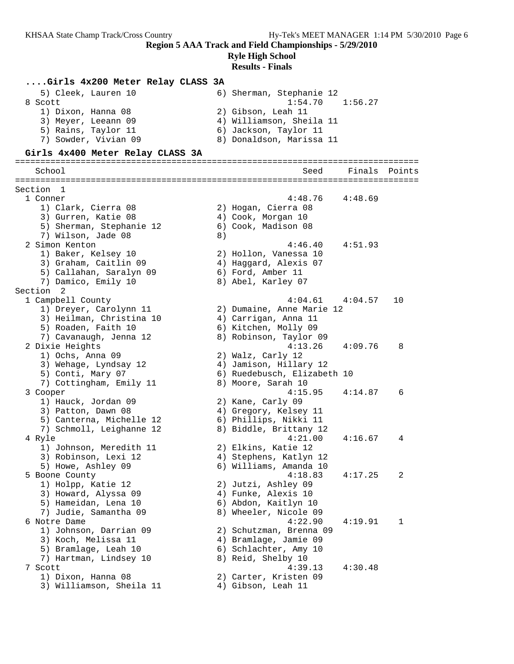### **Ryle High School**

| Girls 4x200 Meter Relay CLASS 3A           |    |                                                  |         |        |
|--------------------------------------------|----|--------------------------------------------------|---------|--------|
| 5) Cleek, Lauren 10                        |    | 6) Sherman, Stephanie 12                         |         |        |
| 8 Scott                                    |    | 1:54.70                                          | 1:56.27 |        |
| 1) Dixon, Hanna 08                         |    | 2) Gibson, Leah 11                               |         |        |
| 3) Meyer, Leeann 09                        |    | 4) Williamson, Sheila 11                         |         |        |
| 5) Rains, Taylor 11                        |    | 6) Jackson, Taylor 11                            |         |        |
| 7) Sowder, Vivian 09                       |    | 8) Donaldson, Marissa 11                         |         |        |
| Girls 4x400 Meter Relay CLASS 3A           |    |                                                  |         |        |
| School                                     |    | Seed                                             | Finals  | Points |
|                                            |    |                                                  |         |        |
| Section 1                                  |    |                                                  |         |        |
| 1 Conner                                   |    | 4:48.76                                          | 4:48.69 |        |
| 1) Clark, Cierra 08                        |    | 2) Hogan, Cierra 08                              |         |        |
| 3) Gurren, Katie 08                        |    | 4) Cook, Morgan 10                               |         |        |
| 5) Sherman, Stephanie 12                   |    | 6) Cook, Madison 08                              |         |        |
| 7) Wilson, Jade 08<br>2 Simon Kenton       | 8) | 4:46.40                                          |         |        |
| 1) Baker, Kelsey 10                        |    | 2) Hollon, Vanessa 10                            | 4:51.93 |        |
| 3) Graham, Caitlin 09                      |    | 4) Haggard, Alexis 07                            |         |        |
| 5) Callahan, Saralyn 09                    |    | 6) Ford, Amber 11                                |         |        |
| 7) Damico, Emily 10                        |    | 8) Abel, Karley 07                               |         |        |
| Section<br>$\overline{2}$                  |    |                                                  |         |        |
| 1 Campbell County                          |    | 4:04.61                                          | 4:04.57 | 10     |
| 1) Dreyer, Carolynn 11                     |    | 2) Dumaine, Anne Marie 12                        |         |        |
| 3) Heilman, Christina 10                   |    | 4) Carrigan, Anna 11                             |         |        |
| 5) Roaden, Faith 10                        |    | 6) Kitchen, Molly 09                             |         |        |
| 7) Cavanaugh, Jenna 12                     |    | 8) Robinson, Taylor 09                           |         |        |
| 2 Dixie Heights                            |    | 4:13.26                                          | 4:09.76 | 8      |
| 1) Ochs, Anna 09                           |    | 2) Walz, Carly 12                                |         |        |
| 3) Wehage, Lyndsay 12                      |    | 4) Jamison, Hillary 12                           |         |        |
| 5) Conti, Mary 07                          |    | 6) Ruedebusch, Elizabeth 10                      |         |        |
| 7) Cottingham, Emily 11                    |    | 8) Moore, Sarah 10                               |         |        |
| 3 Cooper                                   |    | 4:15.95                                          | 4:14.87 | 6      |
| 1) Hauck, Jordan 09                        |    | 2) Kane, Carly 09                                |         |        |
| 3) Patton, Dawn 08                         |    | 4) Gregory, Kelsey 11                            |         |        |
| 5) Canterna, Michelle 12                   |    | 6) Phillips, Nikki 11                            |         |        |
| 7) Schmoll, Leighanne 12                   |    | 8) Biddle, Brittany 12                           |         |        |
| 4 Ryle                                     |    | 4:21.00                                          | 4:16.67 | 4      |
| 1) Johnson, Meredith 11                    |    | 2) Elkins, Katie 12                              |         |        |
| 3) Robinson, Lexi 12<br>5) Howe, Ashley 09 |    | 4) Stephens, Katlyn 12<br>6) Williams, Amanda 10 |         |        |
| 5 Boone County                             |    | 4:18.83                                          | 4:17.25 | 2      |
| 1) Holpp, Katie 12                         |    | 2) Jutzi, Ashley 09                              |         |        |
| 3) Howard, Alyssa 09                       |    | 4) Funke, Alexis 10                              |         |        |
| 5) Hameidan, Lena 10                       |    | 6) Abdon, Kaitlyn 10                             |         |        |
| 7) Judie, Samantha 09                      |    | 8) Wheeler, Nicole 09                            |         |        |
| 6 Notre Dame                               |    | 4:22.90                                          | 4:19.91 | 1      |
| 1) Johnson, Darrian 09                     |    | 2) Schutzman, Brenna 09                          |         |        |
| 3) Koch, Melissa 11                        |    | 4) Bramlage, Jamie 09                            |         |        |
| 5) Bramlage, Leah 10                       |    | 6) Schlachter, Amy 10                            |         |        |
| 7) Hartman, Lindsey 10                     |    | 8) Reid, Shelby 10                               |         |        |
| 7 Scott                                    |    | 4:39.13                                          | 4:30.48 |        |
| 1) Dixon, Hanna 08                         |    | 2) Carter, Kristen 09                            |         |        |
| 3) Williamson, Sheila 11                   |    | 4) Gibson, Leah 11                               |         |        |
|                                            |    |                                                  |         |        |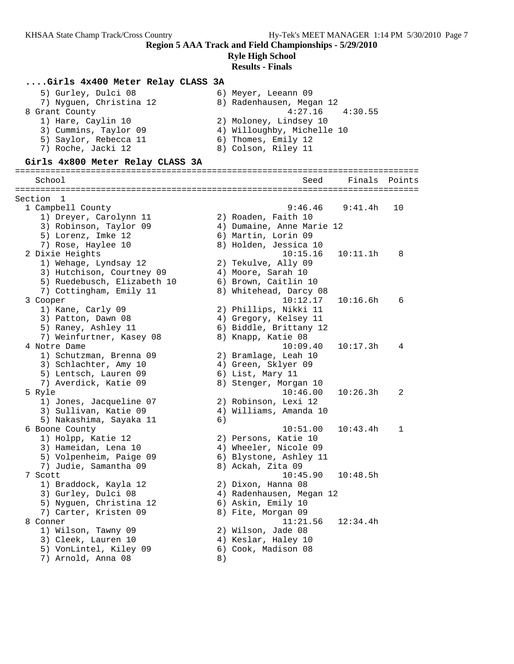## **Ryle High School**

### **Results - Finals**

#### **....Girls 4x400 Meter Relay CLASS 3A**

| 5) Gurley, Dulci 08     | 6) Meyer, Leeann 09        |
|-------------------------|----------------------------|
| 7) Nyguen, Christina 12 | 8) Radenhausen, Megan 12   |
| 8 Grant County          | $4:27.16$ $4:30.55$        |
| 1) Hare, Caylin 10      | 2) Moloney, Lindsey 10     |
| 3) Cummins, Taylor 09   | 4) Willoughby, Michelle 10 |
| 5) Saylor, Rebecca 11   | 6) Thomes, Emily 12        |
| 7) Roche, Jacki 12      | 8) Colson, Riley 11        |

#### **Girls 4x800 Meter Relay CLASS 3A**

================================================================================ School Seed Finals Points ================================================================================ Section 1 1 Campbell County 9:46.46 9:41.4h 10 1) Dreyer, Carolynn 11 12 2) Roaden, Faith 10 3) Robinson, Taylor 09 4) Dumaine, Anne Marie 12 5) Lorenz, Imke 12 (6) Martin, Lorin 09 7) Rose, Haylee 10 8) Holden, Jessica 10 2 Dixie Heights 10:15.16 10:11.1h 8 1) Wehage, Lyndsay 12 2) Tekulve, Ally 09 3) Hutchison, Courtney 09 (4) Moore, Sarah 10 5) Ruedebusch, Elizabeth 10 6) Brown, Caitlin 10 7) Cottingham, Emily 11 8) Whitehead, Darcy 08 3 Cooper 10:12.17 10:16.6h 6 1) Kane, Carly 09 2) Phillips, Nikki 11 3) Patton, Dawn 08 4) Gregory, Kelsey 11 5) Raney, Ashley 11 6) Biddle, Brittany 12 7) Weinfurtner, Kasey 08 8) Knapp, Katie 08 4 Notre Dame 10:09.40 10:17.3h 4 1) Schutzman, Brenna 09 2) Bramlage, Leah 10 3) Schlachter, Amy 10 4) Green, Sklyer 09 5) Lentsch, Lauren 09 (6) List, Mary 11 7) Averdick, Katie 09 8) Stenger, Morgan 10 5 Ryle 10:46.00 10:26.3h 2 1) Jones, Jacqueline 07 2) Robinson, Lexi 12 3) Sullivan, Katie 09 4) Williams, Amanda 10 5) Nakashima, Sayaka 11 (6) 6 Boone County 10:51.00 10:43.4h 1 1) Holpp, Katie 12 2) Persons, Katie 10 3) Hameidan, Lena 10 4) Wheeler, Nicole 09 5) Volpenheim, Paige 09 6) Blystone, Ashley 11 7) Judie, Samantha 09 8) Ackah, Zita 09 7 Scott 10:45.90 10:48.5h 1) Braddock, Kayla 12 2) Dixon, Hanna 08 3) Gurley, Dulci 08 4) Radenhausen, Megan 12 5) Nyguen, Christina 12 6) Askin, Emily 10 7) Carter, Kristen 09  $\hphantom{\text{2.65}$  8) Fite, Morgan 09 8 Conner 11:21.56 12:34.4h 1) Wilson, Tawny 09 2) Wilson, Jade 08 3) Cleek, Lauren 10 (4) Keslar, Haley 10 5) VonLintel, Kiley 09 6) Cook, Madison 08 7) Arnold, Anna 08 8)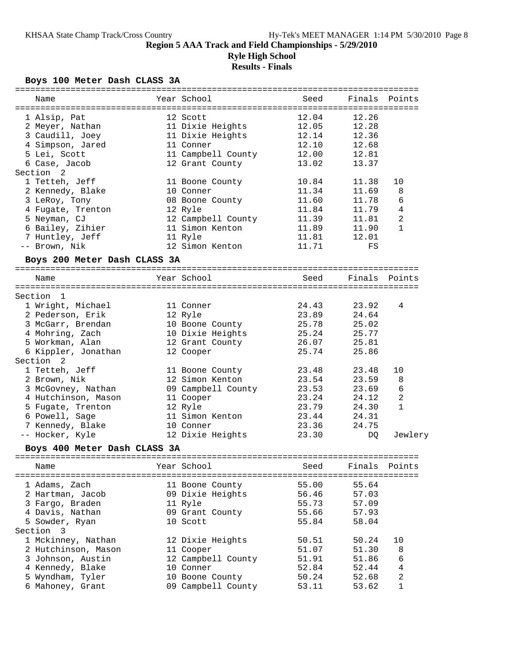### **Region 5 AAA Track and Field Championships - 5/29/2010 Ryle High School**

## **Results - Finals**

### **Boys 100 Meter Dash CLASS 3A**

| Name                         | Year School        | Seed  | Finals | Points         |
|------------------------------|--------------------|-------|--------|----------------|
|                              |                    |       |        |                |
| 1 Alsip, Pat                 | 12 Scott           | 12.04 | 12.26  |                |
| 2 Meyer, Nathan              | 11 Dixie Heights   | 12.05 | 12.28  |                |
| 3 Caudill, Joey              | 11 Dixie Heights   | 12.14 | 12.36  |                |
| 4 Simpson, Jared             | 11 Conner          | 12.10 | 12.68  |                |
| 5 Lei, Scott                 | 11 Campbell County | 12.00 | 12.81  |                |
| 6 Case, Jacob                | 12 Grant County    | 13.02 | 13.37  |                |
| Section<br>2                 |                    |       |        |                |
| 1 Tetteh, Jeff               | 11 Boone County    | 10.84 | 11.38  | 10             |
| 2 Kennedy, Blake             | 10 Conner          | 11.34 | 11.69  | 8              |
| 3 LeRoy, Tony                | 08 Boone County    | 11.60 | 11.78  | 6              |
| 4 Fugate, Trenton            | 12 Ryle            | 11.84 | 11.79  | 4              |
| 5 Neyman, CJ                 | 12 Campbell County | 11.39 | 11.81  | 2              |
| 6 Bailey, Zihier             | 11 Simon Kenton    | 11.89 | 11.90  | $\mathbf{1}$   |
| 7 Huntley, Jeff              | 11 Ryle            | 11.81 | 12.01  |                |
| -- Brown, Nik                | 12 Simon Kenton    | 11.71 | FS     |                |
| Boys 200 Meter Dash CLASS 3A |                    |       |        |                |
| Name                         | Year School        | Seed  | Finals | Points         |
|                              |                    |       |        |                |
| Section 1                    |                    |       |        |                |
| 1 Wright, Michael            | 11 Conner          | 24.43 | 23.92  | 4              |
| 2 Pederson, Erik             | 12 Ryle            | 23.89 | 24.64  |                |
| 3 McGarr, Brendan            | 10 Boone County    | 25.78 | 25.02  |                |
| 4 Mohring, Zach              | 10 Dixie Heights   | 25.24 | 25.77  |                |
| 5 Workman, Alan              | 12 Grant County    | 26.07 | 25.81  |                |
| 6 Kippler, Jonathan          | 12 Cooper          | 25.74 | 25.86  |                |
| Section <sub>2</sub>         |                    |       |        |                |
| 1 Tetteh, Jeff               | 11 Boone County    | 23.48 | 23.48  | 10             |
| 2 Brown, Nik                 | 12 Simon Kenton    | 23.54 | 23.59  | 8              |
| 3 McGovney, Nathan           | 09 Campbell County | 23.53 | 23.69  | 6              |
| 4 Hutchinson, Mason          | 11 Cooper          | 23.24 | 24.12  | $\overline{c}$ |
| 5 Fugate, Trenton            | 12 Ryle            | 23.79 | 24.30  | $\mathbf{1}$   |
| 6 Powell, Sage               | 11 Simon Kenton    | 23.44 | 24.31  |                |
| 7 Kennedy, Blake             | 10 Conner          | 23.36 | 24.75  |                |
| -- Hocker, Kyle              | 12 Dixie Heights   | 23.30 | DQ     | Jewlery        |
| Boys 400 Meter Dash CLASS 3A |                    |       |        |                |
|                              |                    |       |        |                |
| Name                         | Year School        | Seed  | Finals | Points         |
| 1 Adams, Zach                | 11 Boone County    | 55.00 | 55.64  |                |
| 2 Hartman, Jacob             | 09 Dixie Heights   | 56.46 | 57.03  |                |
| 3 Fargo, Braden              | 11 Ryle            | 55.73 | 57.09  |                |
| 4 Davis, Nathan              | 09 Grant County    | 55.66 | 57.93  |                |
| 5 Sowder, Ryan               | 10 Scott           | 55.84 | 58.04  |                |
| Section 3                    |                    |       |        |                |
| 1 Mckinney, Nathan           | 12 Dixie Heights   | 50.51 | 50.24  | 10             |
| 2 Hutchinson, Mason          | 11 Cooper          | 51.07 | 51.30  | 8              |
| 3 Johnson, Austin            | 12 Campbell County | 51.91 | 51.86  | 6              |
| 4 Kennedy, Blake             | 10 Conner          | 52.84 | 52.44  | 4              |
| 5 Wyndham, Tyler             | 10 Boone County    | 50.24 | 52.68  | 2              |
| 6 Mahoney, Grant             | 09 Campbell County | 53.11 | 53.62  | $\mathbf 1$    |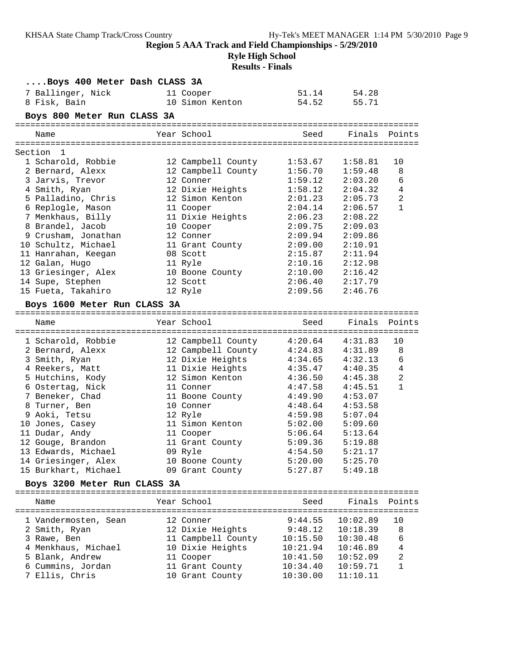**....Boys 400 Meter Dash CLASS 3A**

### **Ryle High School Results - Finals**

| 7 Ballinger, Nick<br>8 Fisk, Bain | 11 Cooper<br>10 Simon Kenton | 51.14<br>54.52 | 54.28<br>55.71 |                |
|-----------------------------------|------------------------------|----------------|----------------|----------------|
| Boys 800 Meter Run CLASS 3A       |                              |                |                |                |
| Name                              | Year School                  | Seed           | Finals Points  |                |
| Section<br>1                      |                              |                |                |                |
| 1 Scharold, Robbie                | 12 Campbell County           | 1:53.67        | 1:58.81        | 10             |
| 2 Bernard, Alexx                  | 12 Campbell County           | 1:56.70        | 1:59.48        | 8              |
| 3 Jarvis, Trevor                  | 12 Conner                    | 1:59.12        | 2:03.20        | 6              |
| 4 Smith, Ryan                     | 12 Dixie Heights             | 1:58.12        | 2:04.32        | $\overline{4}$ |
| 5 Palladino, Chris                | 12 Simon Kenton              | 2:01.23        | 2:05.73        | $\overline{a}$ |
| 6 Replogle, Mason                 | 11 Cooper                    | 2:04.14        | 2:06.57        | $\mathbf{1}$   |
| 7 Menkhaus, Billy                 | 11 Dixie Heights             | 2:06.23        | 2:08.22        |                |
| 8 Brandel, Jacob                  | 10 Cooper                    | 2:09.75        | 2:09.03        |                |
| 9 Crusham, Jonathan               | 12 Conner                    | 2:09.94        | 2:09.86        |                |
| 10 Schultz, Michael               | 11 Grant County              | 2:09.00        | 2:10.91        |                |
| 11 Hanrahan, Keegan               | 08 Scott                     | 2:15.87        | 2:11.94        |                |
| 12 Galan, Hugo                    | 11 Ryle                      | 2:10.16        | 2:12.98        |                |
| 13 Griesinger, Alex               | 10 Boone County              | 2:10.00        | 2:16.42        |                |
| 14 Supe, Stephen                  | 12 Scott                     | 2:06.40        | 2:17.79        |                |
| 15 Fueta, Takahiro                | 12 Ryle                      | 2:09.56        | 2:46.76        |                |
| Boys 1600 Meter Run CLASS 3A      |                              |                |                |                |
| Name                              | Year School                  | Seed           | Finals         | Points         |
|                                   |                              |                |                |                |
| 1 Scharold, Robbie                | 12 Campbell County           | 4:20.64        | 4:31.83        | 10             |
| 2 Bernard, Alexx                  | 12 Campbell County           | 4:24.83        | 4:31.89        | 8              |
| 3 Smith, Ryan                     | 12 Dixie Heights             | 4:34.65        | 4:32.13        | 6              |
| 4 Reekers, Matt                   | 11 Dixie Heights             | 4:35.47        | 4:40.35        | 4              |
| 5 Hutchins, Kody                  | 12 Simon Kenton              | 4:36.50        | 4:45.38        | 2              |
| 6 Ostertag, Nick                  | 11 Conner                    | 4:47.58        | 4:45.51        | 1              |
| 7 Beneker, Chad                   | 11 Boone County              | 4:49.90        | 4:53.07        |                |
| 8 Turner, Ben                     | 10 Conner                    | 4:48.64        | 4:53.58        |                |
| 9 Aoki, Tetsu                     | 12 Ryle                      | 4:59.98        | 5:07.04        |                |
| 10 Jones, Casey                   | 11 Simon Kenton              | 5:02.00        | 5:09.60        |                |
| 11 Dudar, Andy                    | 11 Cooper                    | 5:06.64        | 5:13.64        |                |
| 12 Gouge, Brandon                 | 11 Grant County              | 5:09.36        | 5:19.88        |                |
| 13 Edwards, Michael               | 09 Ryle                      | 4:54.50        | 5:21.17        |                |
| 14 Griesinger, Alex               | 10 Boone County              | 5:20.00        | 5:25.70        |                |
| 15 Burkhart, Michael              | 09 Grant County              | 5:27.87        | 5:49.18        |                |
| Boys 3200 Meter Run CLASS 3A      |                              |                |                |                |
|                                   |                              |                |                |                |
| Name                              | Year School                  | Seed           | Finals         | Points         |
|                                   |                              |                |                |                |
| 1 Vandermosten, Sean              | 12 Conner                    | 9:44.55        | 10:02.89       | 10             |
| 2 Smith, Ryan                     | 12 Dixie Heights             | 9:48.12        | 10:18.39       | 8              |
| 3 Rawe, Ben                       | 11 Campbell County           | 10:15.50       | 10:30.48       | 6              |
| 4 Menkhaus, Michael               | 10 Dixie Heights             | 10:21.94       | 10:46.89       | 4              |
| 5 Blank, Andrew                   | 11 Cooper                    | 10:41.50       | 10:52.09       | 2              |
| 6 Cummins, Jordan                 | 11 Grant County              | 10:34.40       | 10:59.71       | 1              |
| 7 Ellis, Chris                    | 10 Grant County              | 10:30.00       | 11:10.11       |                |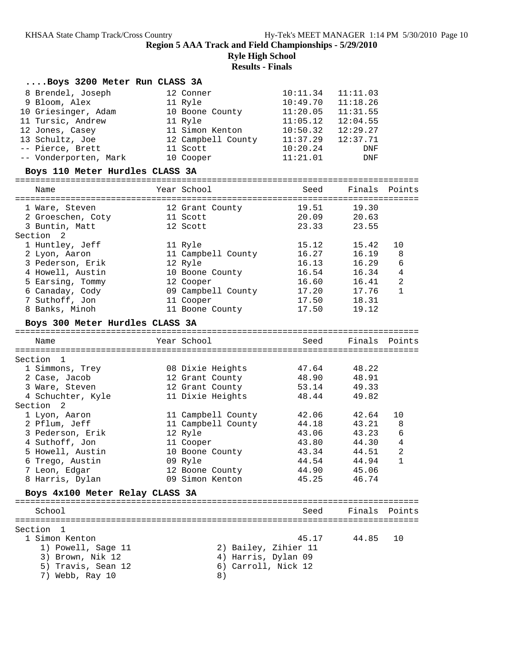**Ryle High School**

| Boys 3200 Meter Run CLASS 3A    |                      |                       |           |               |
|---------------------------------|----------------------|-----------------------|-----------|---------------|
| 8 Brendel, Joseph               | 12 Conner            | $10:11.34$ $11:11.03$ |           |               |
| 9 Bloom, Alex                   | 11 Ryle              | $10:49.70$ $11:18.26$ |           |               |
| 10 Griesinger, Adam             | 10 Boone County      | $11:20.05$ $11:31.55$ |           |               |
| 11 Tursic, Andrew               | 11 Ryle              | $11:05.12$ $12:04.55$ |           |               |
| 12 Jones, Casey                 | 11 Simon Kenton      | $10:50.32$ $12:29.27$ |           |               |
| 13 Schultz, Joe                 | 12 Campbell County   | 11:37.29              | 12:37.71  |               |
| -- Pierce, Brett                | 11 Scott             | 10:20.24              | DNF       |               |
| -- Vonderporten, Mark           | 10 Cooper            | 11:21.01              | DNF       |               |
| Boys 110 Meter Hurdles CLASS 3A |                      |                       |           |               |
|                                 |                      |                       |           |               |
| Name                            | Year School          | Seed                  |           | Finals Points |
| 1 Ware, Steven                  | 12 Grant County      | 19.51                 | 19.30     |               |
| 2 Groeschen, Coty 11 Scott      |                      | 20.09                 | 20.63     |               |
| 3 Buntin, Matt                  | 12 Scott             | 23.33                 | 23.55     |               |
| Section 2                       |                      |                       |           |               |
| 1 Huntley, Jeff                 | 11 Ryle              | 15.12                 | 15.42     | 10            |
| 2 Lyon, Aaron                   | 11 Campbell County   | 16.27                 | 16.19     | 8             |
| 3 Pederson, Erik                | 12 Ryle              | 16.13                 | 16.29     | 6             |
| 4 Howell, Austin                | 10 Boone County      | 16.54                 | $16.34$ 4 |               |
| 5 Earsing, Tommy                | 12 Cooper            | 16.60                 | 16.41     | 2             |
| 6 Canaday, Cody                 | 09 Campbell County   | 17.20                 | 17.76     | $\mathbf{1}$  |
| 7 Suthoff, Jon                  | 11 Cooper            | 17.50                 | 18.31     |               |
| 8 Banks, Minoh                  | 11 Boone County      | 17.50                 | 19.12     |               |
|                                 |                      |                       |           |               |
| Boys 300 Meter Hurdles CLASS 3A |                      |                       |           |               |
|                                 |                      |                       |           |               |
| Name                            | Year School          | Seed                  |           | Finals Points |
|                                 |                      |                       |           |               |
| Section 1                       |                      |                       |           |               |
| 1 Simmons, Trey                 | 08 Dixie Heights     | 47.64                 | 48.22     |               |
| 2 Case, Jacob                   | 12 Grant County      | 48.90                 | 48.91     |               |
| 3 Ware, Steven                  | 12 Grant County      | 53.14                 | 49.33     |               |
| 4 Schuchter, Kyle               | 11 Dixie Heights     | 48.44                 | 49.82     |               |
| Section 2                       |                      |                       |           |               |
| 1 Lyon, Aaron                   | 11 Campbell County   | 42.06                 | 42.64     | 10            |
| 2 Pflum, Jeff                   | 11 Campbell County   | 44.18                 | 43.21     | 8             |
| 3 Pederson, Erik                | 12 Ryle              | 43.06                 | 43.23     | 6             |
| 4 Suthoff, Jon                  | 11 Cooper            | 43.80                 | 44.30     | 4             |
| 5 Howell, Austin                | 10 Boone County      | 43.34                 | 44.51 2   |               |
| 6 Trego, Austin                 | 09 Ryle              | 44.54                 | 44.94     | 1             |
| 7 Leon, Edgar                   | 12 Boone County      | 44.90                 | 45.06     |               |
| 8 Harris, Dylan                 | 09 Simon Kenton      | 45.25                 | 46.74     |               |
| Boys 4x100 Meter Relay CLASS 3A |                      |                       |           |               |
| School                          |                      | Seed                  | Finals    | Points        |
|                                 |                      |                       |           |               |
|                                 |                      |                       |           |               |
| 1 Simon Kenton                  |                      | 45.17                 | 44.85     | 10            |
| 1) Powell, Sage 11              | 2) Bailey, Zihier 11 |                       |           |               |
| Section 1<br>3) Brown, Nik 12   | 4) Harris, Dylan 09  |                       |           |               |
| 5) Travis, Sean 12              | 6) Carroll, Nick 12  |                       |           |               |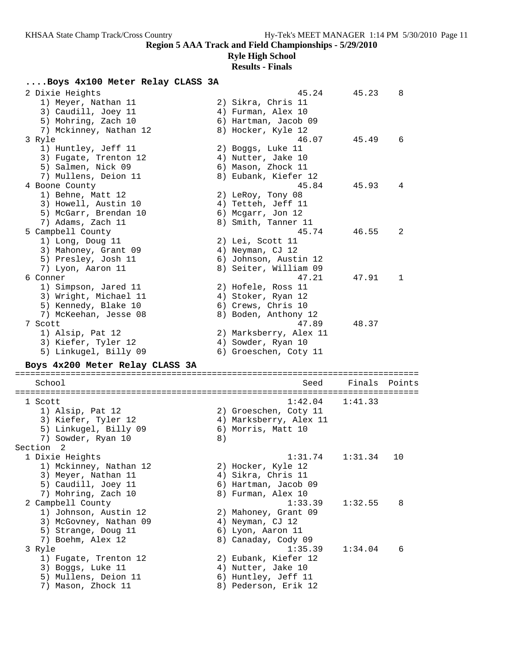### **Ryle High School**

## **Results - Finals**

### **....Boys 4x100 Meter Relay CLASS 3A**

| 2 Dixie Heights                            |    | 45.24                                       | 45.23   | 8      |
|--------------------------------------------|----|---------------------------------------------|---------|--------|
| 1) Meyer, Nathan 11                        |    | 2) Sikra, Chris 11                          |         |        |
| 3) Caudill, Joey 11                        |    | 4) Furman, Alex 10                          |         |        |
| 5) Mohring, Zach 10                        |    | 6) Hartman, Jacob 09                        |         |        |
| 7) Mckinney, Nathan 12                     |    | 8) Hocker, Kyle 12                          |         |        |
| 3 Ryle                                     |    | 46.07                                       | 45.49   | 6      |
| 1) Huntley, Jeff 11                        |    | 2) Boggs, Luke 11                           |         |        |
| 3) Fugate, Trenton 12                      |    | 4) Nutter, Jake 10                          |         |        |
| 5) Salmen, Nick 09                         |    | 6) Mason, Zhock 11                          |         |        |
|                                            |    |                                             |         |        |
| 7) Mullens, Deion 11                       |    | 8) Eubank, Kiefer 12                        |         |        |
| 4 Boone County                             |    | 45.84                                       | 45.93   | 4      |
| 1) Behne, Matt 12                          |    | 2) LeRoy, Tony 08                           |         |        |
| 3) Howell, Austin 10                       |    | 4) Tetteh, Jeff 11                          |         |        |
| 5) McGarr, Brendan 10                      |    | 6) Mcgarr, Jon 12                           |         |        |
| 7) Adams, Zach 11                          |    | 8) Smith, Tanner 11                         |         |        |
| 5 Campbell County                          |    | 45.74                                       | 46.55   | 2      |
| 1) Long, Doug 11                           |    | 2) Lei, Scott 11                            |         |        |
| 3) Mahoney, Grant 09                       |    | 4) Neyman, CJ 12                            |         |        |
| 5) Presley, Josh 11                        |    | 6) Johnson, Austin 12                       |         |        |
| 7) Lyon, Aaron 11                          |    | 8) Seiter, William 09                       |         |        |
| 6 Conner                                   |    | 47.21                                       | 47.91   | 1      |
| 1) Simpson, Jared 11                       |    | 2) Hofele, Ross 11                          |         |        |
| 3) Wright, Michael 11                      |    | 4) Stoker, Ryan 12                          |         |        |
| 5) Kennedy, Blake 10                       |    | 6) Crews, Chris 10                          |         |        |
| 7) McKeehan, Jesse 08                      |    | 8) Boden, Anthony 12                        |         |        |
| 7 Scott                                    |    | 47.89                                       | 48.37   |        |
| 1) Alsip, Pat 12                           |    | 2) Marksberry, Alex 11                      |         |        |
| 3) Kiefer, Tyler 12                        |    | 4) Sowder, Ryan 10                          |         |        |
| 5) Linkugel, Billy 09                      |    | 6) Groeschen, Coty 11                       |         |        |
|                                            |    |                                             |         |        |
| Boys 4x200 Meter Relay CLASS 3A            |    |                                             |         |        |
|                                            |    |                                             |         |        |
| School                                     |    | Seed                                        | Finals  | Points |
| 1 Scott                                    |    | 1:42.04                                     | 1:41.33 |        |
| 1) Alsip, Pat 12                           |    | 2) Groeschen, Coty 11                       |         |        |
| 3) Kiefer, Tyler 12                        |    |                                             |         |        |
|                                            |    | 4) Marksberry, Alex 11                      |         |        |
| 5) Linkugel, Billy 09                      |    | 6) Morris, Matt 10                          |         |        |
| 7) Sowder, Ryan 10                         | 8) |                                             |         |        |
| Section<br>$\overline{\phantom{0}}^2$      |    |                                             |         |        |
|                                            |    |                                             |         |        |
| 1 Dixie Heights                            |    | 1:31.74                                     | 1:31.34 | 10     |
| 1) Mckinney, Nathan 12                     |    | 2) Hocker, Kyle 12                          |         |        |
| 3) Meyer, Nathan 11                        |    | 4) Sikra, Chris 11                          |         |        |
| 5) Caudill, Joey 11                        |    | 6) Hartman, Jacob 09                        |         |        |
| 7) Mohring, Zach 10                        |    | 8) Furman, Alex 10                          |         |        |
| 2 Campbell County                          |    | 1:33.39                                     | 1:32.55 | 8      |
| 1) Johnson, Austin 12                      |    | 2) Mahoney, Grant 09                        |         |        |
| 3) McGovney, Nathan 09                     |    | 4) Neyman, CJ 12                            |         |        |
| 5) Strange, Doug 11                        |    | 6) Lyon, Aaron 11                           |         |        |
| 7) Boehm, Alex 12                          |    | 8) Canaday, Cody 09                         |         |        |
| 3 Ryle                                     |    | 1:35.39                                     | 1:34.04 | 6      |
| 1) Fugate, Trenton 12                      |    | 2) Eubank, Kiefer 12                        |         |        |
|                                            |    |                                             |         |        |
| 3) Boggs, Luke 11                          |    | 4) Nutter, Jake 10                          |         |        |
| 5) Mullens, Deion 11<br>7) Mason, Zhock 11 |    | 6) Huntley, Jeff 11<br>8) Pederson, Erik 12 |         |        |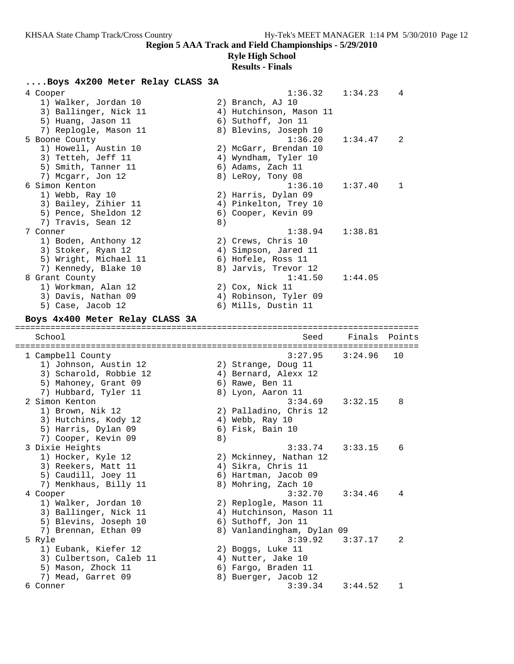### **Ryle High School**

| Boys 4x200 Meter Relay CLASS 3A                |    |                                               |         |        |
|------------------------------------------------|----|-----------------------------------------------|---------|--------|
| 4 Cooper                                       |    | 1:36.32                                       | 1:34.23 | 4      |
| 1) Walker, Jordan 10                           |    | 2) Branch, AJ 10                              |         |        |
| 3) Ballinger, Nick 11                          |    | 4) Hutchinson, Mason 11                       |         |        |
| 5) Huang, Jason 11                             |    | 6) Suthoff, Jon 11                            |         |        |
| 7) Replogle, Mason 11                          |    | 8) Blevins, Joseph 10                         |         |        |
| 5 Boone County                                 |    | 1:36.20                                       | 1:34.47 | 2      |
| 1) Howell, Austin 10                           |    | 2) McGarr, Brendan 10                         |         |        |
| 3) Tetteh, Jeff 11                             |    | 4) Wyndham, Tyler 10                          |         |        |
| 5) Smith, Tanner 11                            |    | 6) Adams, Zach 11                             |         |        |
| 7) Mcgarr, Jon 12                              |    | 8) LeRoy, Tony 08                             |         |        |
| 6 Simon Kenton                                 |    | 1:36.10                                       | 1:37.40 | 1      |
| 1) Webb, Ray 10                                |    | 2) Harris, Dylan 09                           |         |        |
| 3) Bailey, Zihier 11                           |    | 4) Pinkelton, Trey 10                         |         |        |
| 5) Pence, Sheldon 12                           |    | 6) Cooper, Kevin 09                           |         |        |
| 7) Travis, Sean 12                             | 8) |                                               |         |        |
| 7 Conner                                       |    | 1:38.94                                       | 1:38.81 |        |
| 1) Boden, Anthony 12                           |    | 2) Crews, Chris 10                            |         |        |
| 3) Stoker, Ryan 12                             |    | 4) Simpson, Jared 11                          |         |        |
| 5) Wright, Michael 11                          |    | 6) Hofele, Ross 11                            |         |        |
| 7) Kennedy, Blake 10                           |    | 8) Jarvis, Trevor 12<br>1:41.50               |         |        |
| 8 Grant County<br>1) Workman, Alan 12          |    |                                               | 1:44.05 |        |
| 3) Davis, Nathan 09                            |    | 2) Cox, Nick 11<br>4) Robinson, Tyler 09      |         |        |
| 5) Case, Jacob 12                              |    | 6) Mills, Dustin 11                           |         |        |
|                                                |    |                                               |         |        |
| Boys 4x400 Meter Relay CLASS 3A                |    |                                               |         |        |
|                                                |    |                                               |         |        |
| School                                         |    | Seed                                          | Finals  | Points |
|                                                |    | ===============================               |         |        |
| 1 Campbell County                              |    | 3:27.95                                       | 3:24.96 | 10     |
| 1) Johnson, Austin 12                          |    | 2) Strange, Doug 11                           |         |        |
| 3) Scharold, Robbie 12                         |    | 4) Bernard, Alexx 12                          |         |        |
| 5) Mahoney, Grant 09                           |    | 6) Rawe, Ben 11                               |         |        |
| 7) Hubbard, Tyler 11                           |    | 8) Lyon, Aaron 11                             |         |        |
| 2 Simon Kenton                                 |    | 3:34.69                                       | 3:32.15 | 8      |
| 1) Brown, Nik 12                               |    | 2) Palladino, Chris 12                        |         |        |
| 3) Hutchins, Kody 12                           |    | 4) Webb, Ray 10                               |         |        |
| 5) Harris, Dylan 09                            |    | 6) Fisk, Bain 10                              |         |        |
| 7) Cooper, Kevin 09                            | 8) |                                               |         |        |
| 3 Dixie Heights                                |    | 3:33.74                                       | 3:33.15 | 6      |
| 1) Hocker, Kyle 12                             |    | 2) Mckinney, Nathan 12                        |         |        |
| 3) Reekers, Matt 11                            |    | 4) Sikra, Chris 11                            |         |        |
| 5) Caudill, Joey 11                            |    | 6) Hartman, Jacob 09                          |         |        |
| 7) Menkhaus, Billy 11                          |    | 8) Mohring, Zach 10                           |         |        |
| 4 Cooper                                       |    | 3:32.70                                       | 3:34.46 | 4      |
| 1) Walker, Jordan 10                           |    | 2) Replogle, Mason 11                         |         |        |
| 3) Ballinger, Nick 11<br>5) Blevins, Joseph 10 |    | 4) Hutchinson, Mason 11<br>6) Suthoff, Jon 11 |         |        |
| 7) Brennan, Ethan 09                           |    | 8) Vanlandingham, Dylan 09                    |         |        |
| 5 Ryle                                         |    | 3:39.92                                       | 3:37.17 | 2      |
| 1) Eubank, Kiefer 12                           |    | 2) Boggs, Luke 11                             |         |        |
| 3) Culbertson, Caleb 11                        |    | 4) Nutter, Jake 10                            |         |        |
| 5) Mason, Zhock 11                             |    | 6) Fargo, Braden 11                           |         |        |
| 7) Mead, Garret 09                             |    | 8) Buerger, Jacob 12                          |         |        |
| 6 Conner                                       |    | 3:39.34                                       | 3:44.52 | 1      |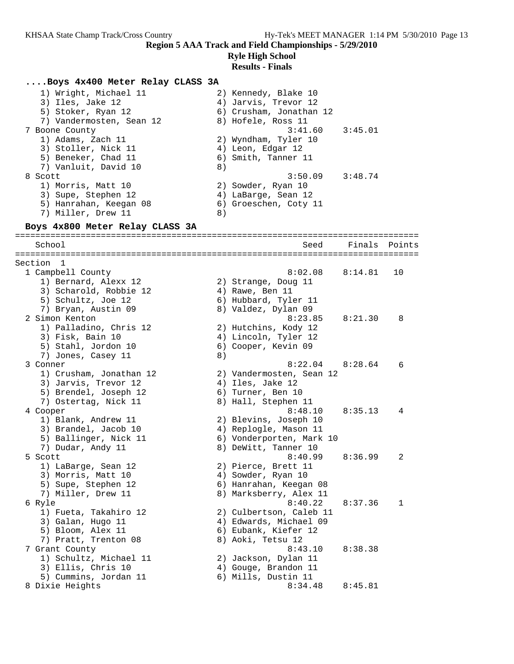### **Ryle High School**

### **Results - Finals**

#### **....Boys 4x400 Meter Relay CLASS 3A**

| 1) Wright, Michael 11    | 2) Kennedy, Blake 10    |
|--------------------------|-------------------------|
| 3) Iles, Jake 12         | 4) Jarvis, Trevor 12    |
| 5) Stoker, Ryan 12       | 6) Crusham, Jonathan 12 |
| 7) Vandermosten, Sean 12 | 8) Hofele, Ross 11      |
| 7 Boone County           | 3:45.01<br>3:41.60      |
| 1) Adams, Zach 11        | 2) Wyndham, Tyler 10    |
| 3) Stoller, Nick 11      | 4) Leon, Edgar 12       |
| 5) Beneker, Chad 11      | 6) Smith, Tanner 11     |
| 7) Vanluit, David 10     | 8)                      |
| 8 Scott                  | $3:50.09$ $3:48.74$     |
| 1) Morris, Matt 10       | 2) Sowder, Ryan 10      |
| 3) Supe, Stephen 12      | 4) LaBarge, Sean 12     |
| 5) Hanrahan, Keegan 08   | 6) Groeschen, Coty 11   |
| 7) Miller, Drew 11       | 8)                      |

#### **Boys 4x800 Meter Relay CLASS 3A** ================================================================================

 School Seed Finals Points ================================================================================ Section 1 1 Campbell County 8:02.08 8:14.81 10 1) Bernard, Alexx 12 2) Strange, Doug 11 3) Scharold, Robbie 12 (4) Rawe, Ben 11 5) Schultz, Joe 12 (6) Hubbard, Tyler 11 7) Bryan, Austin 09 8) Valdez, Dylan 09 2 Simon Kenton 8:23.85 8:21.30 8 1) Palladino, Chris 12 2) Hutchins, Kody 12 3) Fisk, Bain 10 4) Lincoln, Tyler 12 5) Stahl, Jordon 10 (6) Cooper, Kevin 09 7) Jones, Casey 11 8) 3 Conner 8:22.04 8:28.64 6 1) Crusham, Jonathan 12 2) Vandermosten, Sean 12 3) Jarvis, Trevor 12 (4) Iles, Jake 12 5) Brendel, Joseph 12 (6) Turner, Ben 10 7) Ostertag, Nick 11 and 8) Hall, Stephen 11 4 Cooper 8:48.10 8:35.13 4 1) Blank, Andrew 11 2) Blevins, Joseph 10 3) Brandel, Jacob 10 4) Replogle, Mason 11 5) Ballinger, Nick 11 6) Vonderporten, Mark 10 7) Dudar, Andy 11 8) DeWitt, Tanner 10 5 Scott 8:40.99 8:36.99 2 1) LaBarge, Sean 12 2) Pierce, Brett 11 3) Morris, Matt 10 (4) Sowder, Ryan 10 5) Supe, Stephen 12 6) Hanrahan, Keegan 08 7) Miller, Drew 11 8) Marksberry, Alex 11 6 Ryle 8:40.22 8:37.36 1 1) Fueta, Takahiro 12 2) Culbertson, Caleb 11 3) Galan, Hugo 11 4) Edwards, Michael 09 5) Bloom, Alex 11 6) Eubank, Kiefer 12 7) Pratt, Trenton 08 8) Aoki, Tetsu 12 7 Grant County 8:43.10 8:38.38 1) Schultz, Michael 11 2) Jackson, Dylan 11 3) Ellis, Chris 10 4) Gouge, Brandon 11 5) Cummins, Jordan 11 (6) Mills, Dustin 11 8 Dixie Heights 8:34.48 8:45.81